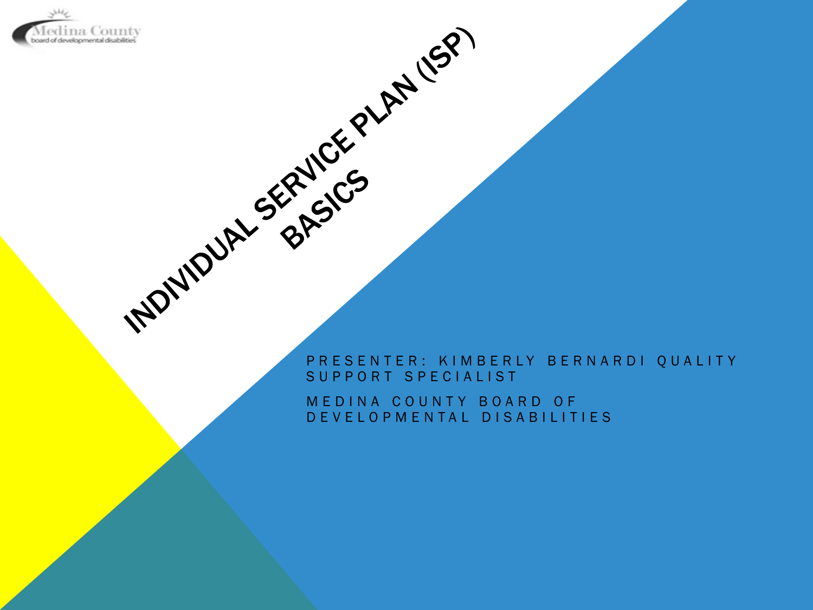

# **PRESENTER: KIMBERLY BERNARDI QUALITY** SUPPORT SPECIALIST

MEDINA COUNTY BOARD OF DEVELOPMENTAL DISABILITIES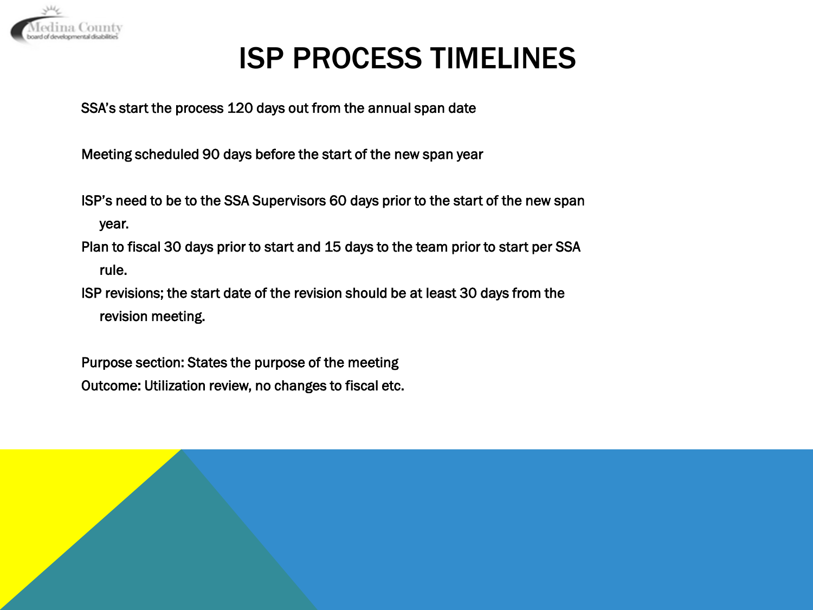

# ISP PROCESS TIMELINES

SSA's start the process 120 days out from the annual span date

Meeting scheduled 90 days before the start of the new span year

ISP's need to be to the SSA Supervisors 60 days prior to the start of the new span year.

Plan to fiscal 30 days prior to start and 15 days to the team prior to start per SSA rule.

ISP revisions; the start date of the revision should be at least 30 days from the revision meeting.

Purpose section: States the purpose of the meeting Outcome: Utilization review, no changes to fiscal etc.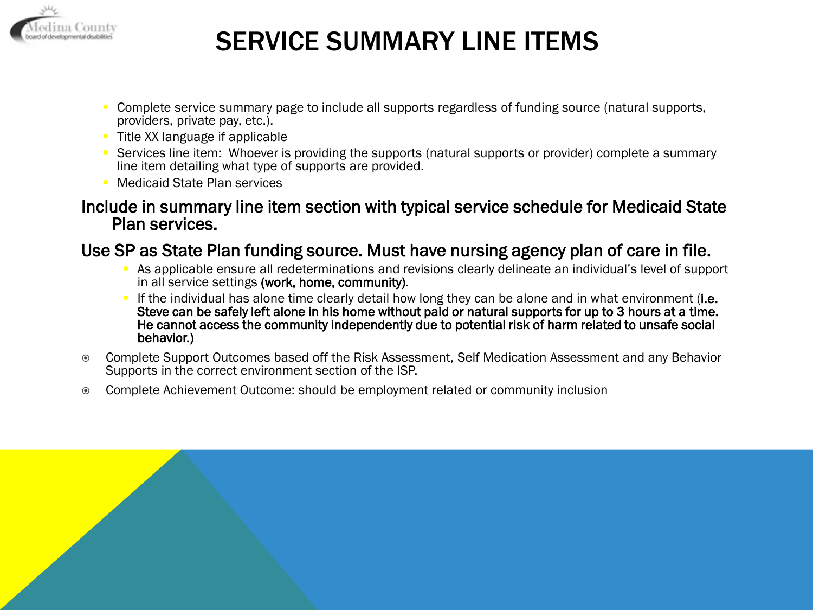

## SERVICE SUMMARY LINE ITEMS

- Complete service summary page to include all supports regardless of funding source (natural supports, providers, private pay, etc.).
- Title XX language if applicable
- Services line item: Whoever is providing the supports (natural supports or provider) complete a summary line item detailing what type of supports are provided.
- Medicaid State Plan services

#### Include in summary line item section with typical service schedule for Medicaid State Plan services.

#### Use SP as State Plan funding source. Must have nursing agency plan of care in file.

- As applicable ensure all redeterminations and revisions clearly delineate an individual's level of support in all service settings (work, home, community).
- If the individual has alone time clearly detail how long they can be alone and in what environment (i.e. Steve can be safely left alone in his home without paid or natural supports for up to 3 hours at a time. He cannot access the community independently due to potential risk of harm related to unsafe social behavior.)
- Complete Support Outcomes based off the Risk Assessment, Self Medication Assessment and any Behavior Supports in the correct environment section of the ISP.
- Complete Achievement Outcome: should be employment related or community inclusion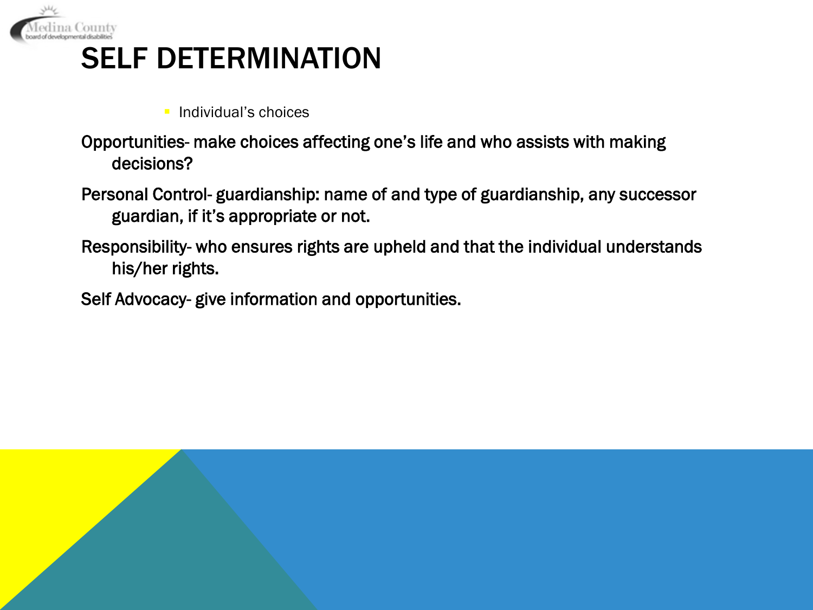

## SELF DETERMINATION

- **Individual's choices**
- Opportunities- make choices affecting one's life and who assists with making decisions?
- Personal Control- guardianship: name of and type of guardianship, any successor guardian, if it's appropriate or not.
- Responsibility- who ensures rights are upheld and that the individual understands his/her rights.
- Self Advocacy- give information and opportunities.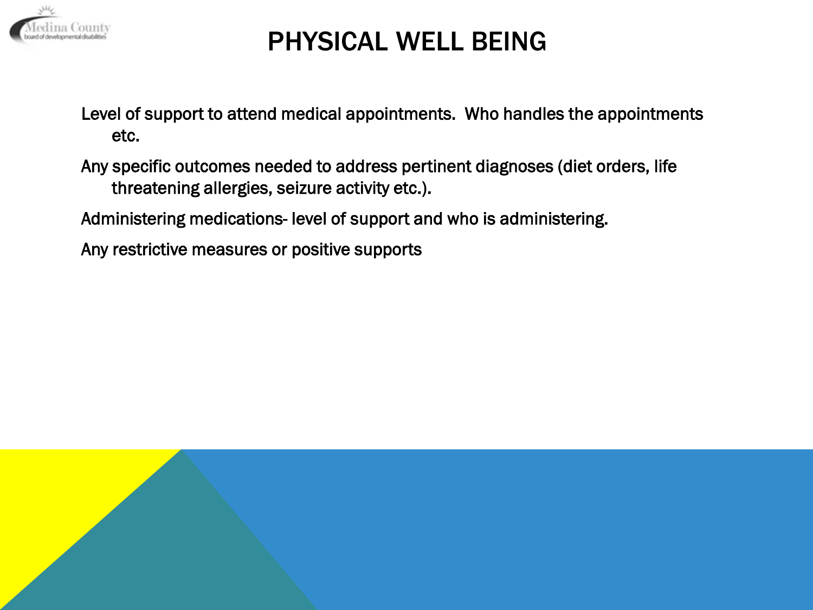

## PHYSICAL WELL BEING

Level of support to attend medical appointments. Who handles the appointments etc.

Any specific outcomes needed to address pertinent diagnoses (diet orders, life threatening allergies, seizure activity etc.).

Administering medications- level of support and who is administering.

Any restrictive measures or positive supports

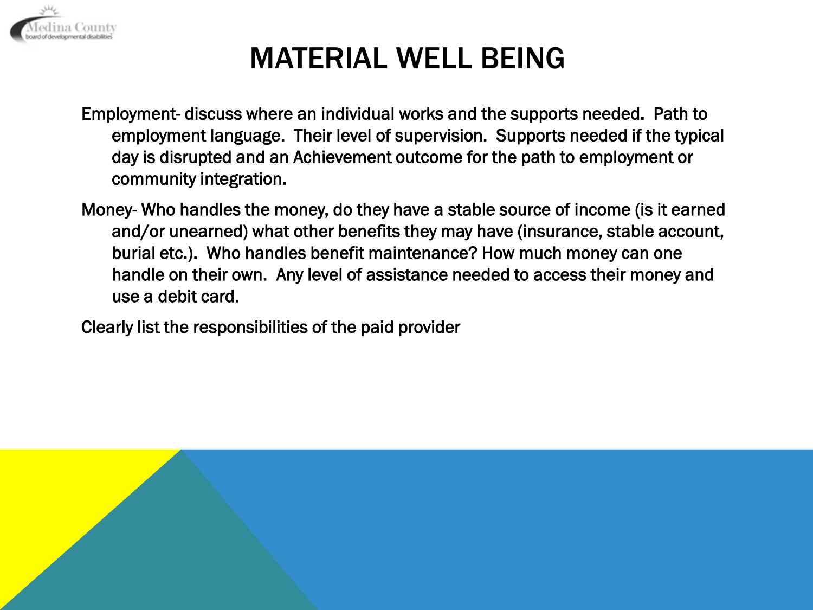

# MATERIAL WELL BEING

Employment- discuss where an individual works and the supports needed. Path to employment language. Their level of supervision. Supports needed if the typical day is disrupted and an Achievement outcome for the path to employment or community integration.

Money- Who handles the money, do they have a stable source of income (is it earned and/or unearned) what other benefits they may have (insurance, stable account, burial etc.). Who handles benefit maintenance? How much money can one handle on their own. Any level of assistance needed to access their money and use a debit card.

Clearly list the responsibilities of the paid provider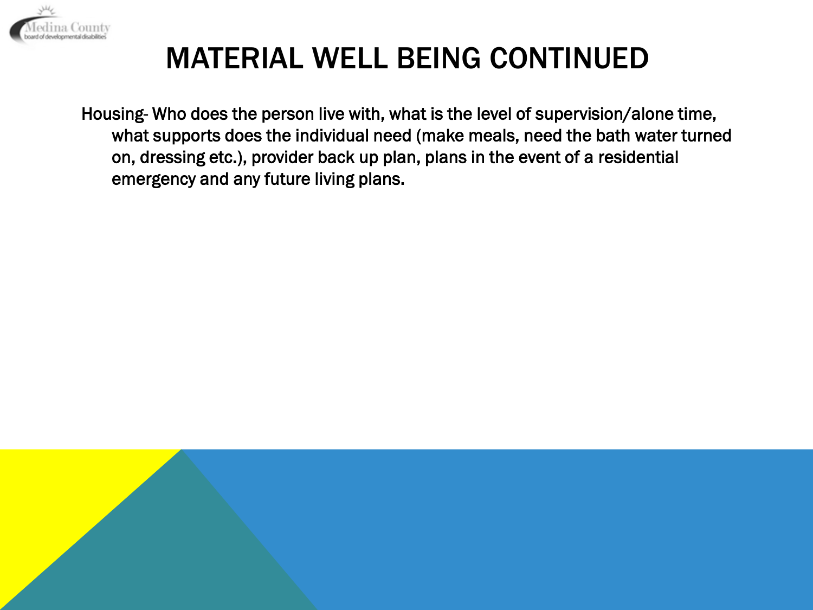

# MATERIAL WELL BEING CONTINUED

Housing- Who does the person live with, what is the level of supervision/alone time, what supports does the individual need (make meals, need the bath water turned on, dressing etc.), provider back up plan, plans in the event of a residential emergency and any future living plans.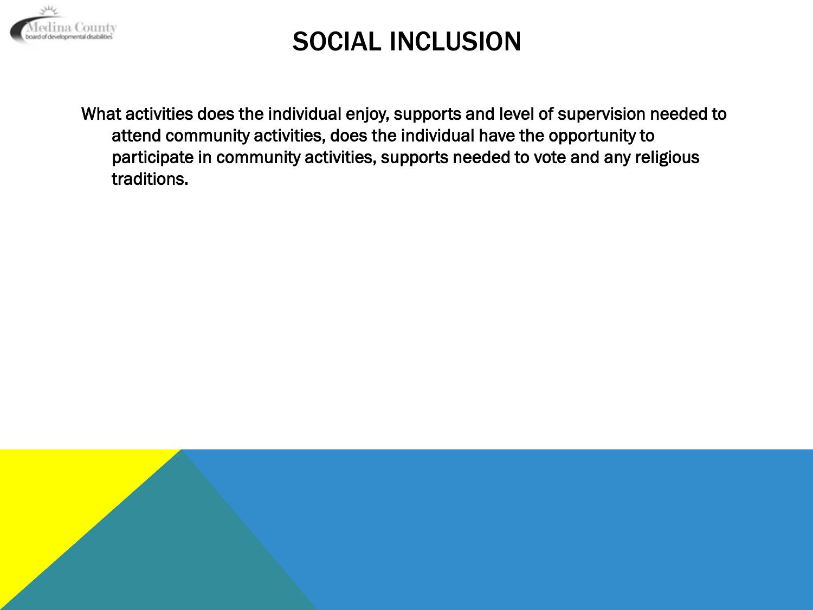

### SOCIAL INCLUSION

What activities does the individual enjoy, supports and level of supervision needed to attend community activities, does the individual have the opportunity to participate in community activities, supports needed to vote and any religious traditions.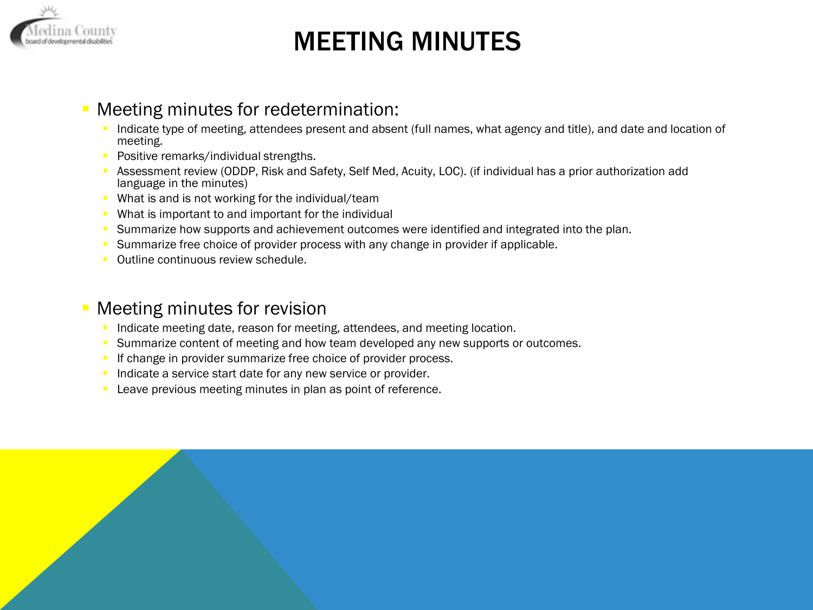

## MEETING MINUTES

#### Meeting minutes for redetermination:

- Indicate type of meeting, attendees present and absent (full names, what agency and title), and date and location of meeting.
- Positive remarks/individual strengths.
- Assessment review (ODDP, Risk and Safety, Self Med, Acuity, LOC). (if individual has a prior authorization add language in the minutes)
- What is and is not working for the individual/team
- **What is important to and important for the individual**
- **Summarize how supports and achievement outcomes were identified and integrated into the plan.**
- **Summarize free choice of provider process with any change in provider if applicable.**
- **Outline continuous review schedule.**

#### Meeting minutes for revision

- Indicate meeting date, reason for meeting, attendees, and meeting location.
- Summarize content of meeting and how team developed any new supports or outcomes.
- If change in provider summarize free choice of provider process.
- Indicate a service start date for any new service or provider.
- **Leave previous meeting minutes in plan as point of reference.**